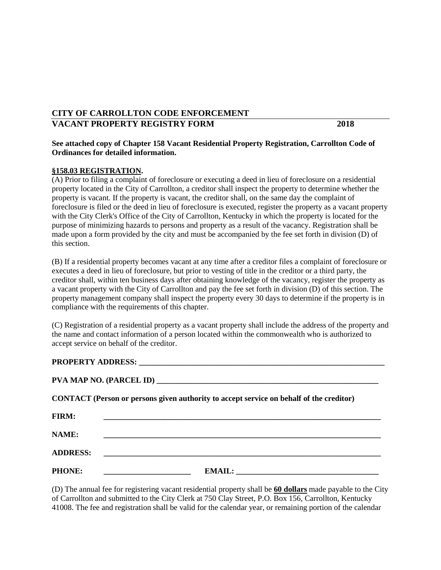## **CITY OF CARROLLTON CODE ENFORCEMENT VACANT PROPERTY REGISTRY FORM 2018**

## **See attached copy of Chapter 158 Vacant Residential Property Registration, Carrollton Code of Ordinances for detailed information.**

## **§158.03 REGISTRATION.**

(A) Prior to filing a complaint of foreclosure or executing a deed in lieu of foreclosure on a residential property located in the City of Carrollton, a creditor shall inspect the property to determine whether the property is vacant. If the property is vacant, the creditor shall, on the same day the complaint of foreclosure is filed or the deed in lieu of foreclosure is executed, register the property as a vacant property with the City Clerk's Office of the City of Carrollton, Kentucky in which the property is located for the purpose of minimizing hazards to persons and property as a result of the vacancy. Registration shall be made upon a form provided by the city and must be accompanied by the fee set forth in division (D) of this section.

(B) If a residential property becomes vacant at any time after a creditor files a complaint of foreclosure or executes a deed in lieu of foreclosure, but prior to vesting of title in the creditor or a third party, the creditor shall, within ten business days after obtaining knowledge of the vacancy, register the property as a vacant property with the City of Carrollton and pay the fee set forth in division (D) of this section. The property management company shall inspect the property every 30 days to determine if the property is in compliance with the requirements of this chapter.

(C) Registration of a residential property as a vacant property shall include the address of the property and the name and contact information of a person located within the commonwealth who is authorized to accept service on behalf of the creditor.

## PROPERTY ADDRESS:

| PVA MAP NO. (PARCEL ID) |
|-------------------------|

|  |  | <b>CONTACT</b> (Person or persons given authority to accept service on behalf of the creditor) |  |
|--|--|------------------------------------------------------------------------------------------------|--|
|  |  |                                                                                                |  |

| <b>FIRM:</b>    |               |
|-----------------|---------------|
| NAME:           |               |
| <b>ADDRESS:</b> |               |
| <b>PHONE:</b>   | <b>EMAIL:</b> |

(D) The annual fee for registering vacant residential property shall be **60 dollars** made payable to the City of Carrollton and submitted to the City Clerk at 750 Clay Street, P.O. Box 156, Carrollton, Kentucky 41008. The fee and registration shall be valid for the calendar year, or remaining portion of the calendar